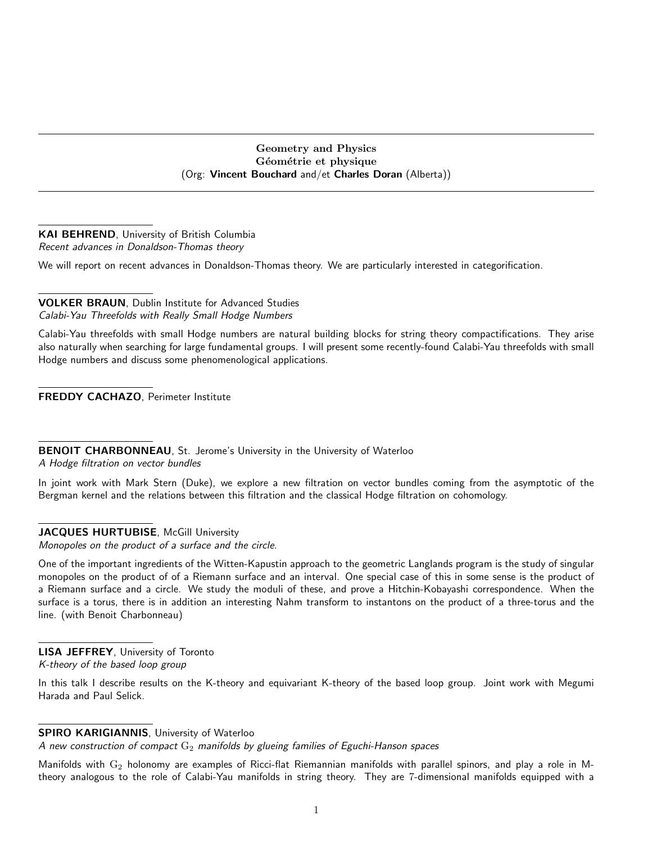## Geometry and Physics Géométrie et physique (Org: Vincent Bouchard and/et Charles Doran (Alberta))

## KAI BEHREND, University of British Columbia Recent advances in Donaldson-Thomas theory

We will report on recent advances in Donaldson-Thomas theory. We are particularly interested in categorification.

# VOLKER BRAUN, Dublin Institute for Advanced Studies

Calabi-Yau Threefolds with Really Small Hodge Numbers

Calabi-Yau threefolds with small Hodge numbers are natural building blocks for string theory compactifications. They arise also naturally when searching for large fundamental groups. I will present some recently-found Calabi-Yau threefolds with small Hodge numbers and discuss some phenomenological applications.

FREDDY CACHAZO, Perimeter Institute

BENOIT CHARBONNEAU, St. Jerome's University in the University of Waterloo

A Hodge filtration on vector bundles

In joint work with Mark Stern (Duke), we explore a new filtration on vector bundles coming from the asymptotic of the Bergman kernel and the relations between this filtration and the classical Hodge filtration on cohomology.

# JACQUES HURTUBISE, McGill University

Monopoles on the product of a surface and the circle.

One of the important ingredients of the Witten-Kapustin approach to the geometric Langlands program is the study of singular monopoles on the product of of a Riemann surface and an interval. One special case of this in some sense is the product of a Riemann surface and a circle. We study the moduli of these, and prove a Hitchin-Kobayashi correspondence. When the surface is a torus, there is in addition an interesting Nahm transform to instantons on the product of a three-torus and the line. (with Benoit Charbonneau)

LISA JEFFREY, University of Toronto K-theory of the based loop group

In this talk I describe results on the K-theory and equivariant K-theory of the based loop group. Joint work with Megumi Harada and Paul Selick.

## SPIRO KARIGIANNIS, University of Waterloo

A new construction of compact  $\mathrm{G}_2$  manifolds by glueing families of Eguchi-Hanson spaces

Manifolds with  $G_2$  holonomy are examples of Ricci-flat Riemannian manifolds with parallel spinors, and play a role in Mtheory analogous to the role of Calabi-Yau manifolds in string theory. They are 7-dimensional manifolds equipped with a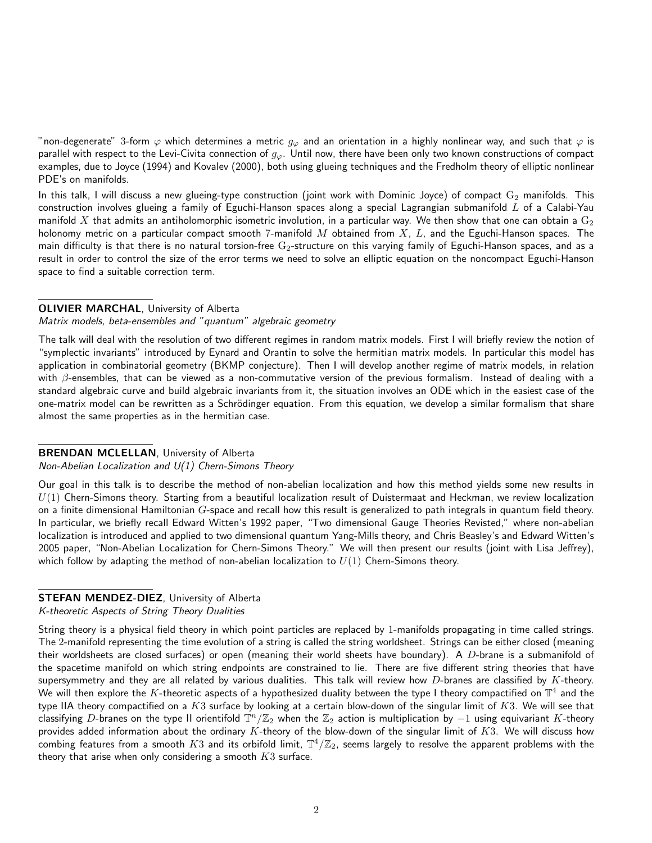"non-degenerate" 3-form  $\varphi$  which determines a metric  $g_\varphi$  and an orientation in a highly nonlinear way, and such that  $\varphi$  is parallel with respect to the Levi-Civita connection of  $g_{\varphi}$ . Until now, there have been only two known constructions of compact examples, due to Joyce (1994) and Kovalev (2000), both using glueing techniques and the Fredholm theory of elliptic nonlinear PDE's on manifolds.

In this talk, I will discuss a new glueing-type construction (joint work with Dominic Joyce) of compact  $G_2$  manifolds. This construction involves glueing a family of Eguchi-Hanson spaces along a special Lagrangian submanifold  $L$  of a Calabi-Yau manifold X that admits an antiholomorphic isometric involution, in a particular way. We then show that one can obtain a  $\mathrm{G}_2$ holonomy metric on a particular compact smooth 7-manifold  $M$  obtained from  $X$ ,  $L$ , and the Eguchi-Hanson spaces. The main difficulty is that there is no natural torsion-free  $G_2$ -structure on this varying family of Eguchi-Hanson spaces, and as a result in order to control the size of the error terms we need to solve an elliptic equation on the noncompact Eguchi-Hanson space to find a suitable correction term.

## OLIVIER MARCHAL, University of Alberta

#### Matrix models, beta-ensembles and "quantum" algebraic geometry

The talk will deal with the resolution of two different regimes in random matrix models. First I will briefly review the notion of "symplectic invariants" introduced by Eynard and Orantin to solve the hermitian matrix models. In particular this model has application in combinatorial geometry (BKMP conjecture). Then I will develop another regime of matrix models, in relation with  $\beta$ -ensembles, that can be viewed as a non-commutative version of the previous formalism. Instead of dealing with a standard algebraic curve and build algebraic invariants from it, the situation involves an ODE which in the easiest case of the one-matrix model can be rewritten as a Schrödinger equation. From this equation, we develop a similar formalism that share almost the same properties as in the hermitian case.

#### BRENDAN MCLELLAN, University of Alberta

#### Non-Abelian Localization and U(1) Chern-Simons Theory

Our goal in this talk is to describe the method of non-abelian localization and how this method yields some new results in  $U(1)$  Chern-Simons theory. Starting from a beautiful localization result of Duistermaat and Heckman, we review localization on a finite dimensional Hamiltonian  $G$ -space and recall how this result is generalized to path integrals in quantum field theory. In particular, we briefly recall Edward Witten's 1992 paper, "Two dimensional Gauge Theories Revisted," where non-abelian localization is introduced and applied to two dimensional quantum Yang-Mills theory, and Chris Beasley's and Edward Witten's 2005 paper, "Non-Abelian Localization for Chern-Simons Theory." We will then present our results (joint with Lisa Jeffrey), which follow by adapting the method of non-abelian localization to  $U(1)$  Chern-Simons theory.

### STEFAN MENDEZ-DIEZ, University of Alberta

## K-theoretic Aspects of String Theory Dualities

String theory is a physical field theory in which point particles are replaced by 1-manifolds propagating in time called strings. The 2-manifold representing the time evolution of a string is called the string worldsheet. Strings can be either closed (meaning their worldsheets are closed surfaces) or open (meaning their world sheets have boundary). A  $D$ -brane is a submanifold of the spacetime manifold on which string endpoints are constrained to lie. There are five different string theories that have supersymmetry and they are all related by various dualities. This talk will review how  $D$ -branes are classified by  $K$ -theory. We will then explore the  $K$ -theoretic aspects of a hypothesized duality between the type I theory compactified on  $\mathbb{T}^4$  and the type IIA theory compactified on a  $K3$  surface by looking at a certain blow-down of the singular limit of  $K3$ . We will see that classifying  $D$ -branes on the type II orientifold  $\mathbb{T}^n/\mathbb{Z}_2$  when the  $\mathbb{Z}_2$  action is multiplication by  $-1$  using equivariant  $K$ -theory provides added information about the ordinary  $K$ -theory of the blow-down of the singular limit of  $K3$ . We will discuss how combing features from a smooth  $K3$  and its orbifold limit,  $\mathbb{T}^4/\mathbb{Z}_2$ , seems largely to resolve the apparent problems with the theory that arise when only considering a smooth  $K3$  surface.